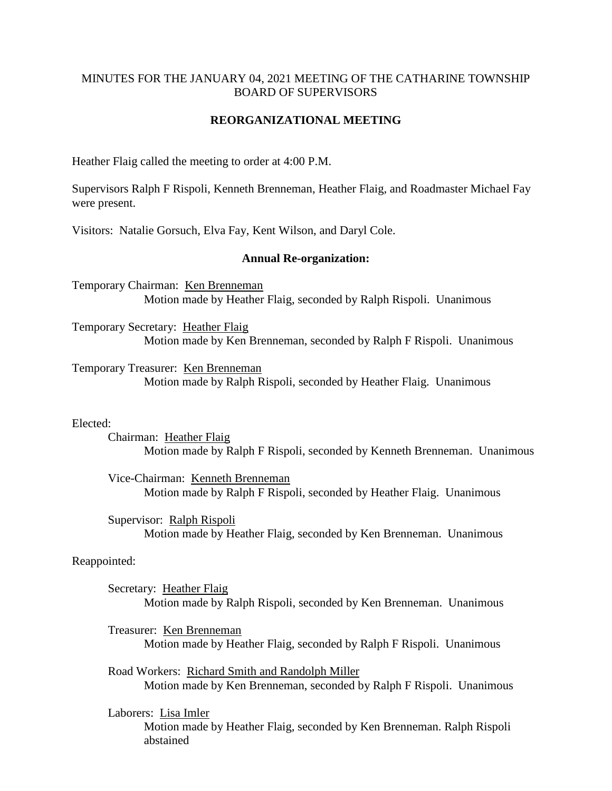# MINUTES FOR THE JANUARY 04, 2021 MEETING OF THE CATHARINE TOWNSHIP BOARD OF SUPERVISORS

## **REORGANIZATIONAL MEETING**

Heather Flaig called the meeting to order at 4:00 P.M.

Supervisors Ralph F Rispoli, Kenneth Brenneman, Heather Flaig, and Roadmaster Michael Fay were present.

Visitors: Natalie Gorsuch, Elva Fay, Kent Wilson, and Daryl Cole.

#### **Annual Re-organization:**

Temporary Chairman: Ken Brenneman Motion made by Heather Flaig, seconded by Ralph Rispoli. Unanimous

Temporary Secretary: Heather Flaig Motion made by Ken Brenneman, seconded by Ralph F Rispoli. Unanimous

Temporary Treasurer: Ken Brenneman Motion made by Ralph Rispoli, seconded by Heather Flaig. Unanimous

Elected:

Chairman: Heather Flaig Motion made by Ralph F Rispoli, seconded by Kenneth Brenneman. Unanimous

Vice-Chairman: Kenneth Brenneman Motion made by Ralph F Rispoli, seconded by Heather Flaig. Unanimous

Supervisor: Ralph Rispoli Motion made by Heather Flaig, seconded by Ken Brenneman. Unanimous

### Reappointed:

Secretary: Heather Flaig Motion made by Ralph Rispoli, seconded by Ken Brenneman. Unanimous

Treasurer: Ken Brenneman Motion made by Heather Flaig, seconded by Ralph F Rispoli. Unanimous

Road Workers: Richard Smith and Randolph Miller Motion made by Ken Brenneman, seconded by Ralph F Rispoli. Unanimous

Laborers: Lisa Imler Motion made by Heather Flaig, seconded by Ken Brenneman. Ralph Rispoli abstained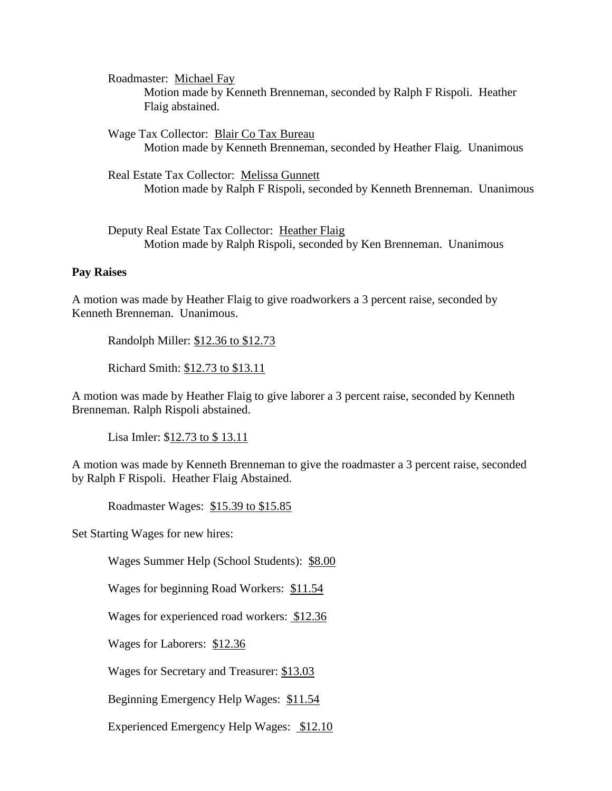Roadmaster: Michael Fay Motion made by Kenneth Brenneman, seconded by Ralph F Rispoli. Heather Flaig abstained.

Wage Tax Collector: Blair Co Tax Bureau Motion made by Kenneth Brenneman, seconded by Heather Flaig. Unanimous

Real Estate Tax Collector: Melissa Gunnett Motion made by Ralph F Rispoli, seconded by Kenneth Brenneman. Unanimous

Deputy Real Estate Tax Collector: Heather Flaig Motion made by Ralph Rispoli, seconded by Ken Brenneman. Unanimous

#### **Pay Raises**

A motion was made by Heather Flaig to give roadworkers a 3 percent raise, seconded by Kenneth Brenneman. Unanimous.

Randolph Miller: \$12.36 to \$12.73

Richard Smith: \$12.73 to \$13.11

A motion was made by Heather Flaig to give laborer a 3 percent raise, seconded by Kenneth Brenneman. Ralph Rispoli abstained.

Lisa Imler: \$12.73 to \$13.11

A motion was made by Kenneth Brenneman to give the roadmaster a 3 percent raise, seconded by Ralph F Rispoli. Heather Flaig Abstained.

Roadmaster Wages: \$15.39 to \$15.85

Set Starting Wages for new hires:

Wages Summer Help (School Students): \$8.00

Wages for beginning Road Workers: \$11.54

Wages for experienced road workers: \$12.36

Wages for Laborers: \$12.36

Wages for Secretary and Treasurer: \$13.03

Beginning Emergency Help Wages: \$11.54

Experienced Emergency Help Wages: \$12.10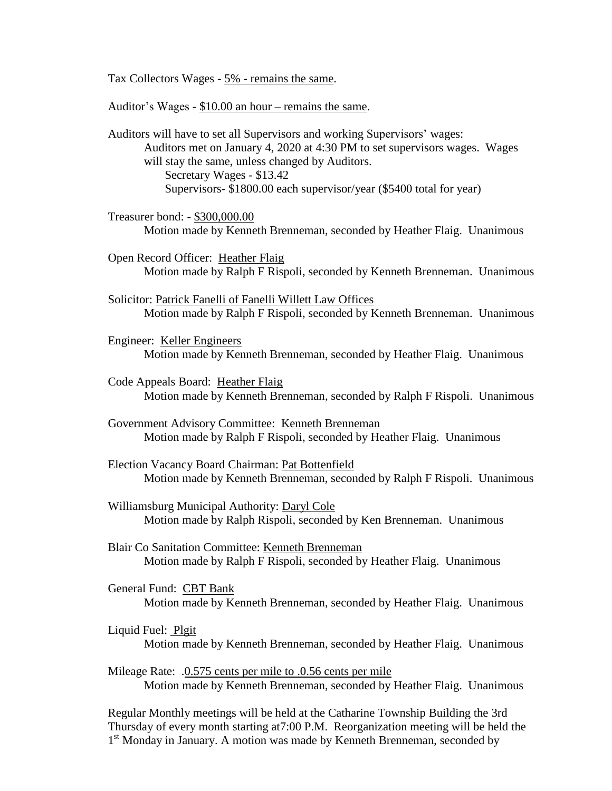Tax Collectors Wages - 5% - remains the same.

Auditor's Wages - \$10.00 an hour – remains the same.

Auditors will have to set all Supervisors and working Supervisors' wages: Auditors met on January 4, 2020 at 4:30 PM to set supervisors wages. Wages will stay the same, unless changed by Auditors. Secretary Wages - \$13.42 Supervisors- \$1800.00 each supervisor/year (\$5400 total for year)

Treasurer bond: - \$300,000.00 Motion made by Kenneth Brenneman, seconded by Heather Flaig. Unanimous

Open Record Officer: Heather Flaig Motion made by Ralph F Rispoli, seconded by Kenneth Brenneman. Unanimous

- Solicitor: Patrick Fanelli of Fanelli Willett Law Offices Motion made by Ralph F Rispoli, seconded by Kenneth Brenneman. Unanimous
- Engineer: Keller Engineers Motion made by Kenneth Brenneman, seconded by Heather Flaig. Unanimous
- Code Appeals Board: Heather Flaig Motion made by Kenneth Brenneman, seconded by Ralph F Rispoli. Unanimous
- Government Advisory Committee: Kenneth Brenneman Motion made by Ralph F Rispoli, seconded by Heather Flaig. Unanimous
- Election Vacancy Board Chairman: Pat Bottenfield Motion made by Kenneth Brenneman, seconded by Ralph F Rispoli. Unanimous
- Williamsburg Municipal Authority: Daryl Cole Motion made by Ralph Rispoli, seconded by Ken Brenneman. Unanimous
- Blair Co Sanitation Committee: Kenneth Brenneman Motion made by Ralph F Rispoli, seconded by Heather Flaig. Unanimous
- General Fund: CBT Bank Motion made by Kenneth Brenneman, seconded by Heather Flaig. Unanimous

Liquid Fuel: Plgit Motion made by Kenneth Brenneman, seconded by Heather Flaig. Unanimous

Mileage Rate: .0.575 cents per mile to .0.56 cents per mile Motion made by Kenneth Brenneman, seconded by Heather Flaig. Unanimous

Regular Monthly meetings will be held at the Catharine Township Building the 3rd Thursday of every month starting at7:00 P.M. Reorganization meeting will be held the 1<sup>st</sup> Monday in January. A motion was made by Kenneth Brenneman, seconded by